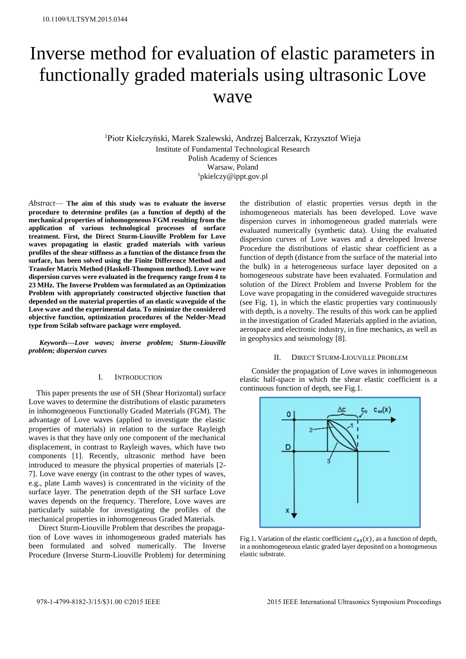# Inverse method for evaluation of elastic parameters in functionally graded materials using ultrasonic Love wave

<sup>1</sup>Piotr Kiełczyński, Marek Szalewski, Andrzej Balcerzak, Krzysztof Wieja Institute of Fundamental Technological Research Polish Academy of Sciences Warsaw, Poland <sup>1</sup>pkielczy@ippt.gov.pl

*Abstract*— **The aim of this study was to evaluate the inverse procedure to determine profiles (as a function of depth) of the mechanical properties of inhomogeneous FGM resulting from the application of various technological processes of surface treatment. First, the Direct Sturm-Liouville Problem for Love waves propagating in elastic graded materials with various profiles of the shear stiffness as a function of the distance from the surface, has been solved using the Finite Difference Method and Transfer Matrix Method (Haskell-Thompson method). Love wave dispersion curves were evaluated in the frequency range from 4 to 23 MHz. The Inverse Problem was formulated as an Optimization Problem with appropriately constructed objective function that depended on the material properties of an elastic waveguide of the Love wave and the experimental data. To minimize the considered objective function, optimization procedures of the Nelder-Mead type from Scilab software package were employed.**

*Keywords—Love waves; inverse problem; Sturm-Liouville problem; dispersion curves* 

# I. INTRODUCTION

 This paper presents the use of SH (Shear Horizontal) surface Love waves to determine the distributions of elastic parameters in inhomogeneous Functionally Graded Materials (FGM). The advantage of Love waves (applied to investigate the elastic properties of materials) in relation to the surface Rayleigh waves is that they have only one component of the mechanical displacement, in contrast to Rayleigh waves, which have two components [1]. Recently, ultrasonic method have been introduced to measure the physical properties of materials [2- 7]. Love wave energy (in contrast to the other types of waves, e.g., plate Lamb waves) is concentrated in the vicinity of the surface layer. The penetration depth of the SH surface Love waves depends on the frequency. Therefore, Love waves are particularly suitable for investigating the profiles of the mechanical properties in inhomogeneous Graded Materials.

 Direct Sturm-Liouville Problem that describes the propagation of Love waves in inhomogeneous graded materials has been formulated and solved numerically. The Inverse Procedure (Inverse Sturm-Liouville Problem) for determining the distribution of elastic properties versus depth in the inhomogeneous materials has been developed. Love wave dispersion curves in inhomogeneous graded materials were evaluated numerically (synthetic data). Using the evaluated dispersion curves of Love waves and a developed Inverse Procedure the distributions of elastic shear coefficient as a function of depth (distance from the surface of the material into the bulk) in a heterogeneous surface layer deposited on a homogeneous substrate have been evaluated. Formulation and solution of the Direct Problem and Inverse Problem for the Love wave propagating in the considered waveguide structures (see Fig. 1), in which the elastic properties vary continuously with depth, is a novelty. The results of this work can be applied in the investigation of Graded Materials applied in the aviation, aerospace and electronic industry, in fine mechanics, as well as in geophysics and seismology [8].

## II. DIRECT STURM-LIOUVILLE PROBLEM

 Consider the propagation of Love waves in inhomogeneous elastic half-space in which the shear elastic coefficient is a continuous function of depth, see Fig.1.



Fig.1. Variation of the elastic coefficient  $c_{44}(x)$ , as a function of depth, in a nonhomogeneous elastic graded layer deposited on a homogeneous elastic substrate.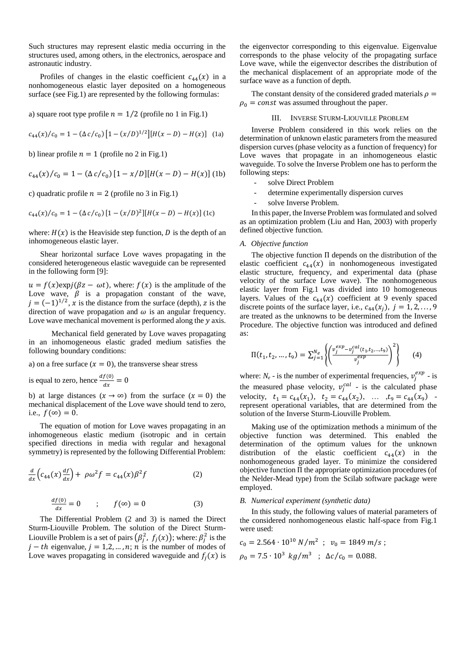Such structures may represent elastic media occurring in the structures used, among others, in the electronics, aerospace and astronautic industry.

Profiles of changes in the elastic coefficient  $c_{44}(x)$  in a nonhomogeneous elastic layer deposited on a homogeneous surface (see Fig.1) are represented by the following formulas:

a) square root type profile  $n = 1/2$  (profile no 1 in Fig.1)

$$
c_{44}(x)/c_0 = 1 - (\Delta c/c_0) [1 - (x/D)^{1/2}] [H(x - D) - H(x)]
$$
 (1a)

b) linear profile  $n = 1$  (profile no 2 in Fig.1)

$$
c_{44}(x)/c_0 = 1 - (\Delta c/c_0) [1 - x/D][H(x - D) - H(x)]
$$
 (1b)

c) quadratic profile  $n = 2$  (profile no 3 in Fig.1)

$$
c_{44}(x)/c_0 = 1 - (\Delta c/c_0) [1 - (x/D)^2][H(x - D) - H(x)]
$$
 (1c)

where:  $H(x)$  is the Heaviside step function, D is the depth of an inhomogeneous elastic layer.

 Shear horizontal surface Love waves propagating in the considered heterogeneous elastic waveguide can be represented in the following form [9]:

 $u = f(x) \exp(j(\beta z - \omega t))$ , where:  $f(x)$  is the amplitude of the Love wave,  $\beta$  is a propagation constant of the wave,  $j = (-1)^{1/2}$ , x is the distance from the surface (depth), z is the direction of wave propagation and  $\omega$  is an angular frequency. Love wave mechanical movement is performed along the  $y$  axis.

 Mechanical field generated by Love waves propagating in an inhomogeneous elastic graded medium satisfies the following boundary conditions:

a) on a free surface  $(x = 0)$ , the transverse shear stress

is equal to zero, hence  $\frac{df(0)}{dx} = 0$ 

b) at large distances  $(x \to \infty)$  from the surface  $(x = 0)$  the mechanical displacement of the Love wave should tend to zero, i.e.,  $f(\infty) = 0$ .

The equation of motion for Love waves propagating in an inhomogeneous elastic medium (isotropic and in certain specified directions in media with regular and hexagonal symmetry) is represented by the following Differential Problem:

$$
\frac{d}{dx}\left(c_{44}(x)\frac{df}{dx}\right) + \rho\omega^2 f = c_{44}(x)\beta^2 f\tag{2}
$$

$$
\frac{df(0)}{dx} = 0 \qquad ; \qquad f(\infty) = 0 \tag{3}
$$

The Differential Problem (2 and 3) is named the Direct Sturm-Liouville Problem. The solution of the Direct Sturm-Liouville Problem is a set of pairs  $(\beta_j^2, f_j(x))$ ; where:  $\beta_j^2$  is the  $j - th$  eigenvalue,  $j = 1, 2, ..., n$ ;  $n$  is the number of modes of Love waves propagating in considered waveguide and  $f_i(x)$  is

the eigenvector corresponding to this eigenvalue. Eigenvalue corresponds to the phase velocity of the propagating surface Love wave, while the eigenvector describes the distribution of the mechanical displacement of an appropriate mode of the surface wave as a function of depth.

The constant density of the considered graded materials  $\rho =$  $\rho_0 = const$  was assumed throughout the paper.

# III. INVERSE STURM-LIOUVILLE PROBLEM

 Inverse Problem considered in this work relies on the determination of unknown elastic parameters from the measured dispersion curves (phase velocity as a function of frequency) for Love waves that propagate in an inhomogeneous elastic waveguide. To solve the Inverse Problem one has to perform the following steps:

- solve Direct Problem
- determine experimentally dispersion curves
- solve Inverse Problem.

 In this paper, the Inverse Problem was formulated and solved as an optimization problem (Liu and Han, 2003) with properly defined objective function.

## *A. Objective function*

 The objective function Π depends on the distribution of the elastic coefficient  $c_{44}(x)$  in nonhomogeneous investigated elastic structure, frequency, and experimental data (phase velocity of the surface Love wave). The nonhomogeneous elastic layer from Fig.1 was divided into 10 homogeneous layers. Values of the  $c_{44}(x)$  coefficient at 9 evenly spaced discrete points of the surface layer, i.e.,  $c_{44}(x_i)$ ,  $j = 1, 2, ..., 9$ are treated as the unknowns to be determined from the Inverse Procedure. The objective function was introduced and defined as:

$$
\Pi(t_1, t_2, ..., t_9) = \sum_{j=1}^{N_e} \left\{ \left( \frac{v_j^{exp} - v_j^{cal}(t_1, t_2, ..., t_9)}{v_j^{exp}} \right)^2 \right\} \tag{4}
$$

where:  $N_e$  - is the number of experimental frequencies,  $v_j^{exp}$  - is the measured phase velocity,  $v_j^{cal}$  - is the calculated phase velocity,  $t_1 = c_{44}(x_1)$ ,  $t_2 = c_{44}(x_2)$ , ...  $t_9 = c_{44}(x_9)$ . represent operational variables, that are determined from the solution of the Inverse Sturm-Liouville Problem.

 Making use of the optimization methods a minimum of the objective function was determined. This enabled the determination of the optimum values for the unknown distribution of the elastic coefficient  $c_{44}(x)$  in the nonhomogeneous graded layer. To minimize the considered objective function Π the appropriate optimization procedures (of the Nelder-Mead type) from the Scilab software package were employed.

## *B. Numerical experiment (synthetic data)*

 In this study, the following values of material parameters of the considered nonhomogeneous elastic half-space from Fig.1 were used:

$$
c_0 = 2.564 \cdot 10^{10} \ N/m^2 \ ; \ v_0 = 1849 \ m/s \ ;
$$
  

$$
\rho_0 = 7.5 \cdot 10^3 \ kg/m^3 \ ; \ \Delta c/c_0 = 0.088.
$$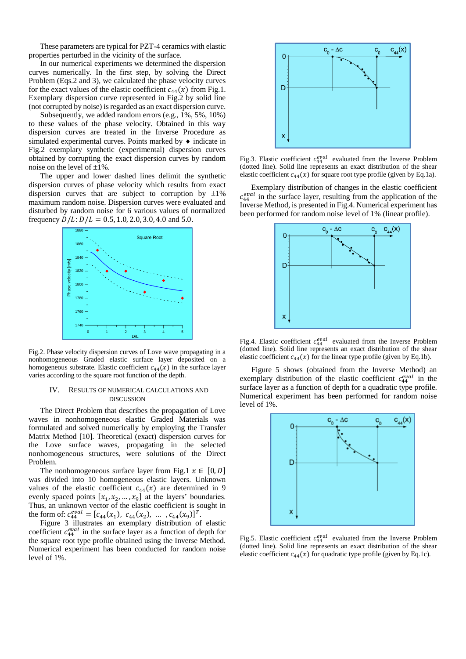These parameters are typical for PZT-4 ceramics with elastic properties perturbed in the vicinity of the surface.

 In our numerical experiments we determined the dispersion curves numerically. In the first step, by solving the Direct Problem (Eqs.2 and 3), we calculated the phase velocity curves for the exact values of the elastic coefficient  $c_{44}(x)$  from Fig.1. Exemplary dispersion curve represented in Fig.2 by solid line (not corrupted by noise) is regarded as an exact dispersion curve.

 Subsequently, we added random errors (e.g., 1%, 5%, 10%) to these values of the phase velocity. Obtained in this way dispersion curves are treated in the Inverse Procedure as simulated experimental curves. Points marked by  $\triangle$  indicate in Fig.2 exemplary synthetic (experimental) dispersion curves obtained by corrupting the exact dispersion curves by random noise on the level of  $\pm 1\%$ .

 The upper and lower dashed lines delimit the synthetic dispersion curves of phase velocity which results from exact dispersion curves that are subject to corruption by  $\pm 1\%$ maximum random noise. Dispersion curves were evaluated and disturbed by random noise for 6 various values of normalized frequency  $D/L$ :  $D/L = 0.5, 1.0, 2.0, 3.0, 4.0$  and 5.0.



Fig.2. Phase velocity dispersion curves of Love wave propagating in a nonhomogeneous Graded elastic surface layer deposited on a homogeneous substrate. Elastic coefficient  $c_{44}(x)$  in the surface layer varies according to the square root function of the depth.

# IV. RESULTS OF NUMERICAL CALCULATIONS AND DISCUSSION

 The Direct Problem that describes the propagation of Love waves in nonhomogeneous elastic Graded Materials was formulated and solved numerically by employing the Transfer Matrix Method [10]. Theoretical (exact) dispersion curves for the Love surface waves, propagating in the selected nonhomogeneous structures, were solutions of the Direct Problem.

The nonhomogeneous surface layer from Fig.1  $x \in [0, D]$ was divided into 10 homogeneous elastic layers. Unknown values of the elastic coefficient  $c_{44}(x)$  are determined in 9 evenly spaced points  $[x_1, x_2, ..., x_9]$  at the layers' boundaries. Thus, an unknown vector of the elastic coefficient is sought in the form of:  $c_{44}^{eval} = [c_{44}(x_1), c_{44}(x_2), ..., c_{44}(x_9)]^T$ .

 Figure 3 illustrates an exemplary distribution of elastic coefficient  $c_{44}^{eval}$  in the surface layer as a function of depth for the square root type profile obtained using the Inverse Method. Numerical experiment has been conducted for random noise level of 1%.



Fig.3. Elastic coefficient  $c_{44}^{eval}$  evaluated from the Inverse Problem (dotted line). Solid line represents an exact distribution of the shear elastic coefficient  $c_{44}(x)$  for square root type profile (given by Eq.1a).

Exemplary distribution of changes in the elastic coefficient  $c_{44}^{eval}$  in the surface layer, resulting from the application of the Inverse Method, is presented in Fig.4. Numerical experiment has been performed for random noise level of 1% (linear profile).



Fig.4. Elastic coefficient  $c_{44}^{eval}$  evaluated from the Inverse Problem (dotted line). Solid line represents an exact distribution of the shear elastic coefficient  $c_{44}(x)$  for the linear type profile (given by Eq.1b).

 Figure 5 shows (obtained from the Inverse Method) an exemplary distribution of the elastic coefficient  $c_{44}^{eval}$  in the surface layer as a function of depth for a quadratic type profile. Numerical experiment has been performed for random noise level of 1%.



Fig.5. Elastic coefficient  $c_{44}^{eval}$  evaluated from the Inverse Problem (dotted line). Solid line represents an exact distribution of the shear elastic coefficient  $c_{44}(x)$  for quadratic type profile (given by Eq.1c).